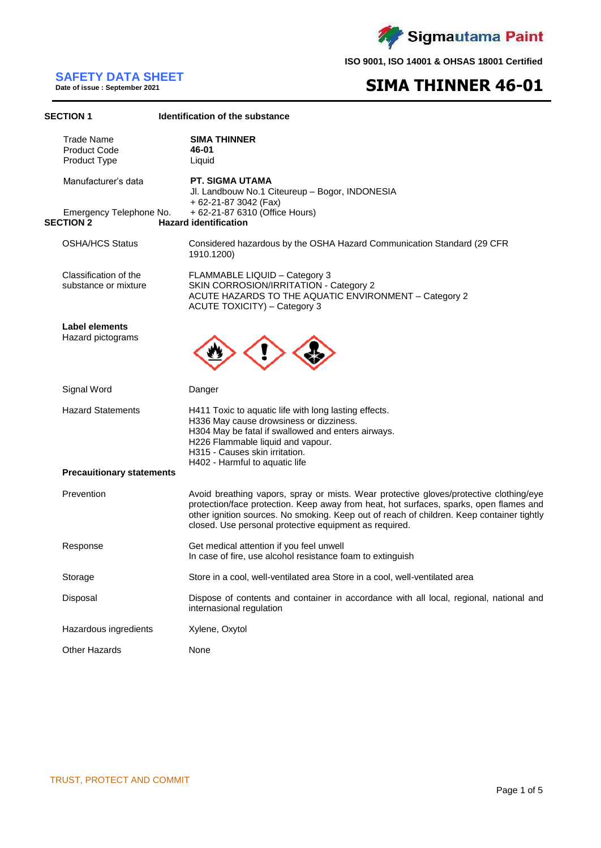

# **SAFETY DATA SHEET**

**Date of issue : September 2021**

# **SIMA THINNER 46-01**

| <b>SECTION 1</b>                                         | Identification of the substance                                                                                                                                                                                                                                                                                                         |
|----------------------------------------------------------|-----------------------------------------------------------------------------------------------------------------------------------------------------------------------------------------------------------------------------------------------------------------------------------------------------------------------------------------|
| <b>Trade Name</b><br><b>Product Code</b><br>Product Type | <b>SIMA THINNER</b><br>46-01<br>Liquid                                                                                                                                                                                                                                                                                                  |
| Manufacturer's data                                      | PT. SIGMA UTAMA<br>Jl. Landbouw No.1 Citeureup - Bogor, INDONESIA<br>+ 62-21-87 3042 (Fax)                                                                                                                                                                                                                                              |
| Emergency Telephone No.<br><b>SECTION 2</b>              | + 62-21-87 6310 (Office Hours)<br><b>Hazard identification</b>                                                                                                                                                                                                                                                                          |
| <b>OSHA/HCS Status</b>                                   | Considered hazardous by the OSHA Hazard Communication Standard (29 CFR<br>1910.1200)                                                                                                                                                                                                                                                    |
| Classification of the<br>substance or mixture            | FLAMMABLE LIQUID - Category 3<br>SKIN CORROSION/IRRITATION - Category 2<br>ACUTE HAZARDS TO THE AQUATIC ENVIRONMENT - Category 2<br>ACUTE TOXICITY) - Category 3                                                                                                                                                                        |
| Label elements<br>Hazard pictograms                      |                                                                                                                                                                                                                                                                                                                                         |
| Signal Word                                              | Danger                                                                                                                                                                                                                                                                                                                                  |
| <b>Hazard Statements</b>                                 | H411 Toxic to aquatic life with long lasting effects.<br>H336 May cause drowsiness or dizziness.<br>H304 May be fatal if swallowed and enters airways.<br>H226 Flammable liquid and vapour.<br>H315 - Causes skin irritation.<br>H402 - Harmful to aquatic life                                                                         |
| <b>Precaultionary statements</b>                         |                                                                                                                                                                                                                                                                                                                                         |
| Prevention                                               | Avoid breathing vapors, spray or mists. Wear protective gloves/protective clothing/eye<br>protection/face protection. Keep away from heat, hot surfaces, sparks, open flames and<br>other ignition sources. No smoking. Keep out of reach of children. Keep container tightly<br>closed. Use personal protective equipment as required. |
| Response                                                 | Get medical attention if you feel unwell<br>In case of fire, use alcohol resistance foam to extinguish                                                                                                                                                                                                                                  |
| Storage                                                  | Store in a cool, well-ventilated area Store in a cool, well-ventilated area                                                                                                                                                                                                                                                             |
| Disposal                                                 | Dispose of contents and container in accordance with all local, regional, national and<br>internasional regulation                                                                                                                                                                                                                      |
| Hazardous ingredients                                    | Xylene, Oxytol                                                                                                                                                                                                                                                                                                                          |
| <b>Other Hazards</b>                                     | None                                                                                                                                                                                                                                                                                                                                    |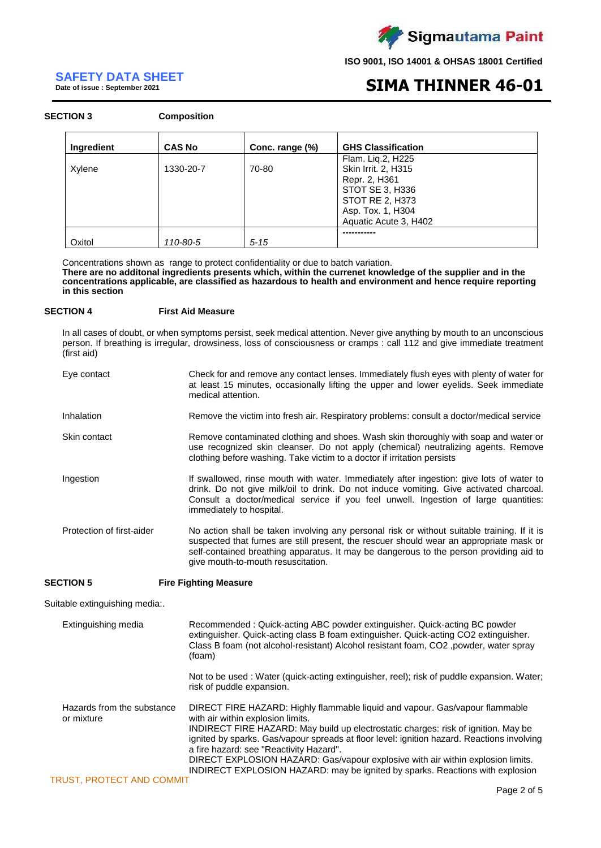

# **SAFETY DATA SHEET**

**Date of issue : September 2021**

# **SIMA THINNER 46-01**

### **SECTION 3 Composition**

| Ingredient | <b>CAS No</b> | Conc. range (%) | <b>GHS Classification</b>                                                                                                                     |
|------------|---------------|-----------------|-----------------------------------------------------------------------------------------------------------------------------------------------|
| Xylene     | 1330-20-7     | 70-80           | Flam. Liq.2, H225<br>Skin Irrit. 2, H315<br>Repr. 2, H361<br>STOT SE 3, H336<br>STOT RE 2, H373<br>Asp. Tox. 1, H304<br>Aquatic Acute 3, H402 |
| Oxitol     | 110-80-5      | $5 - 15$        |                                                                                                                                               |

Concentrations shown as range to protect confidentiality or due to batch variation. **There are no additonal ingredients presents which, within the currenet knowledge of the supplier and in the concentrations applicable, are classified as hazardous to health and environment and hence require reporting in this section**

### **SECTION 4 First Aid Measure**

In all cases of doubt, or when symptoms persist, seek medical attention. Never give anything by mouth to an unconscious person. If breathing is irregular, drowsiness, loss of consciousness or cramps : call 112 and give immediate treatment (first aid)

| Eye contact               | Check for and remove any contact lenses. Immediately flush eyes with plenty of water for<br>at least 15 minutes, occasionally lifting the upper and lower eyelids. Seek immediate<br>medical attention.                                                                                                               |
|---------------------------|-----------------------------------------------------------------------------------------------------------------------------------------------------------------------------------------------------------------------------------------------------------------------------------------------------------------------|
| Inhalation                | Remove the victim into fresh air. Respiratory problems: consult a doctor/medical service                                                                                                                                                                                                                              |
| Skin contact              | Remove contaminated clothing and shoes. Wash skin thoroughly with soap and water or<br>use recognized skin cleanser. Do not apply (chemical) neutralizing agents. Remove<br>clothing before washing. Take victim to a doctor if irritation persists                                                                   |
| Ingestion                 | If swallowed, rinse mouth with water. Immediately after ingestion: give lots of water to<br>drink. Do not give milk/oil to drink. Do not induce vomiting. Give activated charcoal.<br>Consult a doctor/medical service if you feel unwell. Ingestion of large quantities:<br>immediately to hospital.                 |
| Protection of first-aider | No action shall be taken involving any personal risk or without suitable training. If it is<br>suspected that fumes are still present, the rescuer should wear an appropriate mask or<br>self-contained breathing apparatus. It may be dangerous to the person providing aid to<br>give mouth-to-mouth resuscitation. |

## **SECTION 5 Fire Fighting Measure**

Suitable extinguishing media:.

| Extinguishing media                      | Recommended: Quick-acting ABC powder extinguisher. Quick-acting BC powder<br>extinguisher. Quick-acting class B foam extinguisher. Quick-acting CO2 extinguisher.<br>Class B foam (not alcohol-resistant) Alcohol resistant foam, CO <sub>2</sub> , powder, water spray<br>(foam)                                                                                                                                                                                                                                    |
|------------------------------------------|----------------------------------------------------------------------------------------------------------------------------------------------------------------------------------------------------------------------------------------------------------------------------------------------------------------------------------------------------------------------------------------------------------------------------------------------------------------------------------------------------------------------|
|                                          | Not to be used: Water (quick-acting extinguisher, reel); risk of puddle expansion. Water;<br>risk of puddle expansion.                                                                                                                                                                                                                                                                                                                                                                                               |
| Hazards from the substance<br>or mixture | DIRECT FIRE HAZARD: Highly flammable liquid and vapour. Gas/vapour flammable<br>with air within explosion limits.<br>INDIRECT FIRE HAZARD: May build up electrostatic charges: risk of ignition. May be<br>ignited by sparks. Gas/vapour spreads at floor level: ignition hazard. Reactions involving<br>a fire hazard: see "Reactivity Hazard".<br>DIRECT EXPLOSION HAZARD: Gas/vapour explosive with air within explosion limits.<br>INDIRECT EXPLOSION HAZARD: may be ignited by sparks. Reactions with explosion |
| TRUST. PROTECT AND COMMIT                |                                                                                                                                                                                                                                                                                                                                                                                                                                                                                                                      |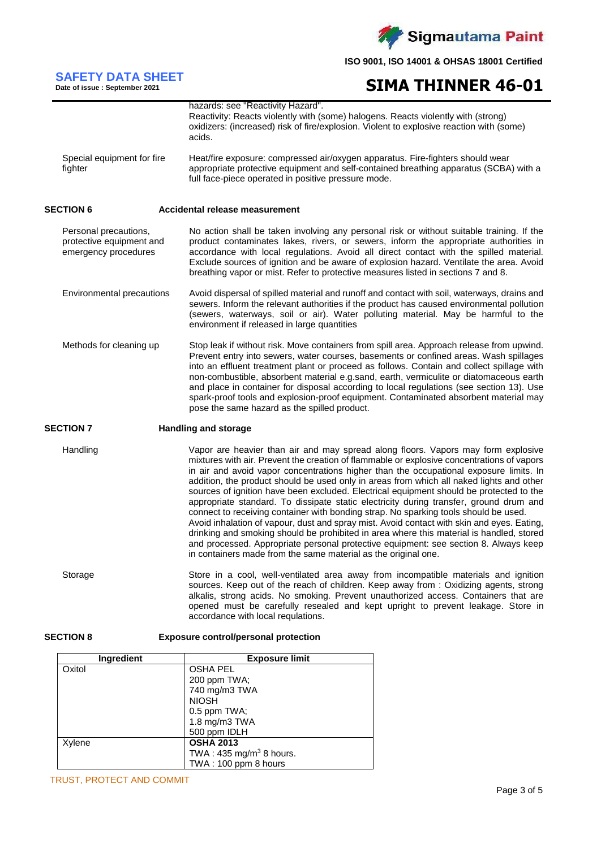

# **SIMA THINNER 46-01**

|                                                                           | hazards: see "Reactivity Hazard".<br>Reactivity: Reacts violently with (some) halogens. Reacts violently with (strong)<br>oxidizers: (increased) risk of fire/explosion. Violent to explosive reaction with (some)<br>acids.                                                                                                                                                                                                                                                                                                                                                                                                                                                                                                                                                                                                                                                                                                                                                                           |
|---------------------------------------------------------------------------|--------------------------------------------------------------------------------------------------------------------------------------------------------------------------------------------------------------------------------------------------------------------------------------------------------------------------------------------------------------------------------------------------------------------------------------------------------------------------------------------------------------------------------------------------------------------------------------------------------------------------------------------------------------------------------------------------------------------------------------------------------------------------------------------------------------------------------------------------------------------------------------------------------------------------------------------------------------------------------------------------------|
| Special equipment for fire<br>fighter                                     | Heat/fire exposure: compressed air/oxygen apparatus. Fire-fighters should wear<br>appropriate protective equipment and self-contained breathing apparatus (SCBA) with a<br>full face-piece operated in positive pressure mode.                                                                                                                                                                                                                                                                                                                                                                                                                                                                                                                                                                                                                                                                                                                                                                         |
| <b>SECTION 6</b>                                                          | Accidental release measurement                                                                                                                                                                                                                                                                                                                                                                                                                                                                                                                                                                                                                                                                                                                                                                                                                                                                                                                                                                         |
| Personal precautions,<br>protective equipment and<br>emergency procedures | No action shall be taken involving any personal risk or without suitable training. If the<br>product contaminates lakes, rivers, or sewers, inform the appropriate authorities in<br>accordance with local regulations. Avoid all direct contact with the spilled material.<br>Exclude sources of ignition and be aware of explosion hazard. Ventilate the area. Avoid<br>breathing vapor or mist. Refer to protective measures listed in sections 7 and 8.                                                                                                                                                                                                                                                                                                                                                                                                                                                                                                                                            |
| Environmental precautions                                                 | Avoid dispersal of spilled material and runoff and contact with soil, waterways, drains and<br>sewers. Inform the relevant authorities if the product has caused environmental pollution<br>(sewers, waterways, soil or air). Water polluting material. May be harmful to the<br>environment if released in large quantities                                                                                                                                                                                                                                                                                                                                                                                                                                                                                                                                                                                                                                                                           |
| Methods for cleaning up                                                   | Stop leak if without risk. Move containers from spill area. Approach release from upwind.<br>Prevent entry into sewers, water courses, basements or confined areas. Wash spillages<br>into an effluent treatment plant or proceed as follows. Contain and collect spillage with<br>non-combustible, absorbent material e.g.sand, earth, vermiculite or diatomaceous earth<br>and place in container for disposal according to local regulations (see section 13). Use<br>spark-proof tools and explosion-proof equipment. Contaminated absorbent material may<br>pose the same hazard as the spilled product.                                                                                                                                                                                                                                                                                                                                                                                          |
| <b>SECTION 7</b>                                                          | <b>Handling and storage</b>                                                                                                                                                                                                                                                                                                                                                                                                                                                                                                                                                                                                                                                                                                                                                                                                                                                                                                                                                                            |
| Handling                                                                  | Vapor are heavier than air and may spread along floors. Vapors may form explosive<br>mixtures with air. Prevent the creation of flammable or explosive concentrations of vapors<br>in air and avoid vapor concentrations higher than the occupational exposure limits. In<br>addition, the product should be used only in areas from which all naked lights and other<br>sources of ignition have been excluded. Electrical equipment should be protected to the<br>appropriate standard. To dissipate static electricity during transfer, ground drum and<br>connect to receiving container with bonding strap. No sparking tools should be used.<br>Avoid inhalation of vapour, dust and spray mist. Avoid contact with skin and eyes. Eating,<br>drinking and smoking should be prohibited in area where this material is handled, stored<br>and processed. Appropriate personal protective equipment: see section 8. Always keep<br>in containers made from the same material as the original one. |
| Storage                                                                   | Store in a cool, well-ventilated area away from incompatible materials and ignition<br>sources. Keep out of the reach of children. Keep away from: Oxidizing agents, strong<br>alkalis, strong acids. No smoking. Prevent unauthorized access. Containers that are<br>opened must be carefully resealed and kept upright to prevent leakage. Store in<br>accordance with local requlations.                                                                                                                                                                                                                                                                                                                                                                                                                                                                                                                                                                                                            |
| <b>SECTION 8</b>                                                          | <b>Exposure control/personal protection</b>                                                                                                                                                                                                                                                                                                                                                                                                                                                                                                                                                                                                                                                                                                                                                                                                                                                                                                                                                            |

| <b>Ingredient</b> | <b>Exposure limit</b>              |
|-------------------|------------------------------------|
| Oxitol            | <b>OSHA PEL</b>                    |
|                   | 200 ppm TWA;                       |
|                   | 740 mg/m3 TWA                      |
|                   | <b>NIOSH</b>                       |
|                   | $0.5$ ppm TWA;                     |
|                   | 1.8 mg/m3 TWA                      |
|                   | 500 ppm IDLH                       |
| Xylene            | <b>OSHA 2013</b>                   |
|                   | TWA: $435 \text{ mg/m}^3$ 8 hours. |
|                   | TWA: 100 ppm 8 hours               |

**SAFETY DATA SHEET Date of issue : September 2021**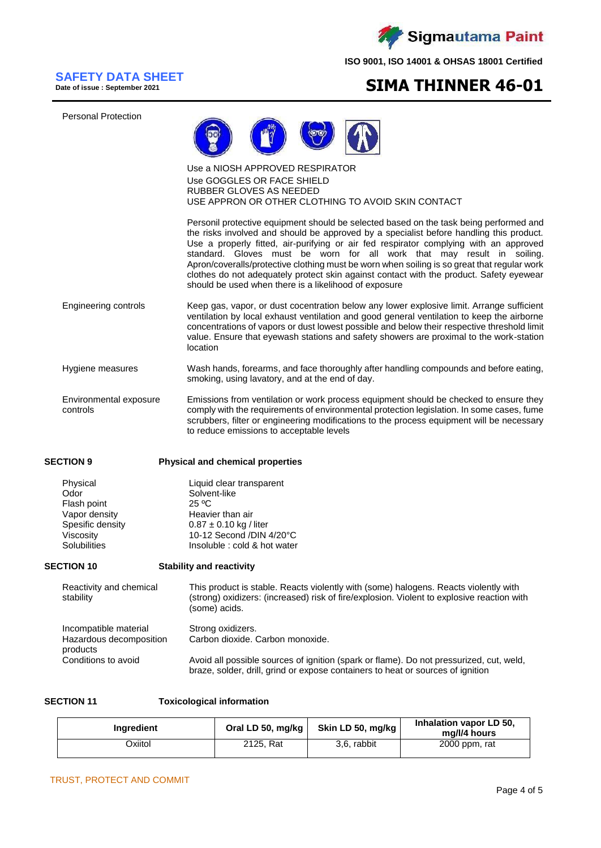

# **SAFETY DATA SHEET**

**Date of issue : September 2021**

# **SIMA THINNER 46-01**

Personal Protection



### Use a NIOSH APPROVED RESPIRATOR Use GOGGLES OR FACE SHIELD RUBBER GLOVES AS NEEDED USE APPRON OR OTHER CLOTHING TO AVOID SKIN CONTACT

Personil protective equipment should be selected based on the task being performed and the risks involved and should be approved by a specialist before handling this product. Use a properly fitted, air-purifying or air fed respirator complying with an approved standard. Gloves must be worn for all work that may result in soiling. Apron/coveralls/protective clothing must be worn when soiling is so great that regular work clothes do not adequately protect skin against contact with the product. Safety eyewear should be used when there is a likelihood of exposure

- Engineering controls Keep gas, vapor, or dust cocentration below any lower explosive limit. Arrange sufficient ventilation by local exhaust ventilation and good general ventilation to keep the airborne concentrations of vapors or dust lowest possible and below their respective threshold limit value. Ensure that eyewash stations and safety showers are proximal to the work-station location
- Hygiene measures Wash hands, forearms, and face thoroughly after handling compounds and before eating, smoking, using lavatory, and at the end of day.
- Environmental exposure controls Emissions from ventilation or work process equipment should be checked to ensure they comply with the requirements of environmental protection legislation. In some cases, fume scrubbers, filter or engineering modifications to the process equipment will be necessary to reduce emissions to acceptable levels

producte

### **SECTION 9 Physical and chemical properties**

| Liquid clear transparent     |
|------------------------------|
| Solvent-like                 |
| 25 °C                        |
| Heavier than air             |
| $0.87 \pm 0.10$ kg / liter   |
| 10-12 Second /DIN 4/20°C     |
| Insoluble : cold & hot water |
|                              |

## **SECTION 10 Stability and reactivity**

| Reactivity and chemical<br>stability | This product is stable. Reacts violently with (some) halogens. Reacts violently with<br>(strong) oxidizers: (increased) risk of fire/explosion. Violent to explosive reaction with<br>(some) acids. |  |
|--------------------------------------|-----------------------------------------------------------------------------------------------------------------------------------------------------------------------------------------------------|--|
| Incompatible material                | Strong oxidizers.                                                                                                                                                                                   |  |
| Hazardous decomposition              | Carbon dioxide, Carbon monoxide.                                                                                                                                                                    |  |

| pivuuu              |                                                                                         |
|---------------------|-----------------------------------------------------------------------------------------|
| Conditions to avoid | Avoid all possible sources of ignition (spark or flame). Do not pressurized, cut, weld, |
|                     | braze, solder, drill, grind or expose containers to heat or sources of ignition         |

**SECTION 11 Toxicological information**

| <b>Ingredient</b> | Oral LD 50, mg/kg | Skin LD 50, mg/kg | Inhalation vapor LD 50,<br>mg/l/4 hours |
|-------------------|-------------------|-------------------|-----------------------------------------|
| Oxiitol           | 2125, Rat         | 3.6. rabbit       | 2000 ppm, rat                           |